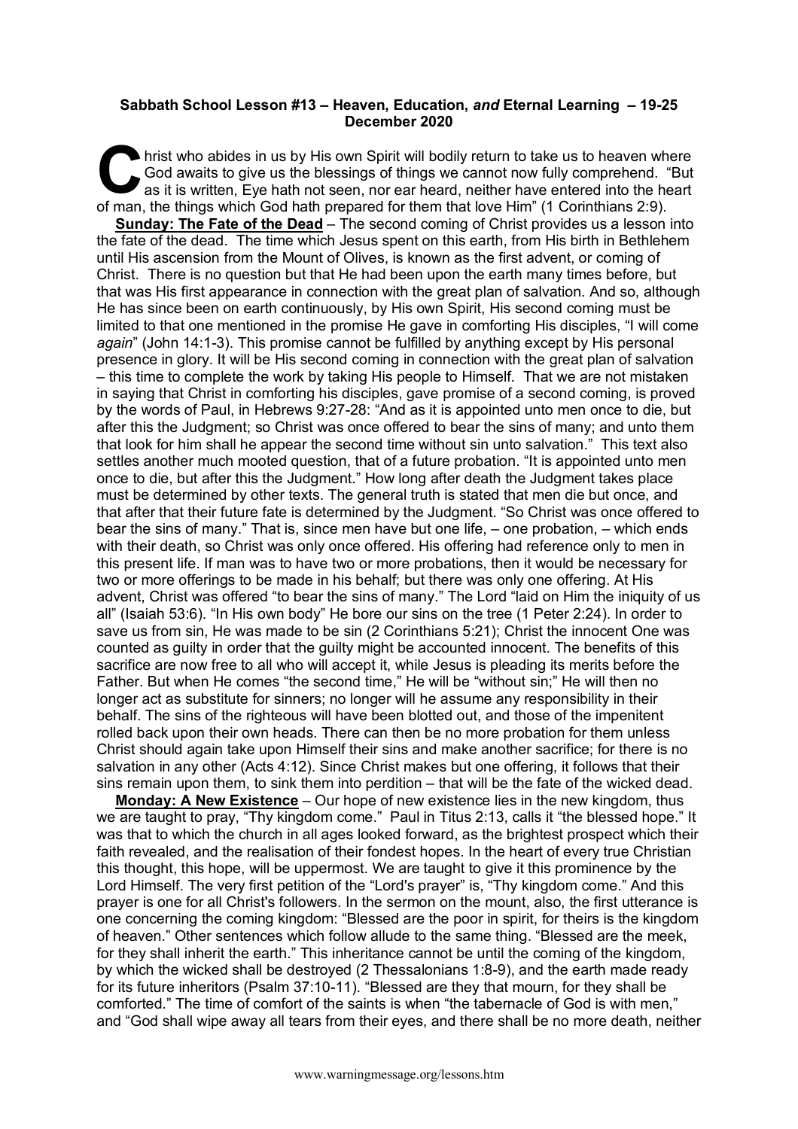## **Sabbath School Lesson #13 – Heaven, Education,** *and* **Eternal Learning – 19-25 December 2020**

hrist who abides in us by His own Spirit will bodily return to take us to heaven where<br>
God awaits to give us the blessings of things we cannot now fully comprehend. "But<br>
as it is written, Eye hath not seen, nor ear heard God awaits to give us the blessings of things we cannot now fully comprehend. "But as it is written, Eye hath not seen, nor ear heard, neither have entered into the heart of man, the things which God hath prepared for them that love Him" (1 Corinthians 2:9). **Sunday: The Fate of the Dead** – The second coming of Christ provides us a lesson into the fate of the dead. The time which Jesus spent on this earth, from His birth in Bethlehem until His ascension from the Mount of Olives, is known as the first advent, or coming of Christ. There is no question but that He had been upon the earth many times before, but that was His first appearance in connection with the great plan of salvation. And so, although He has since been on earth continuously, by His own Spirit, His second coming must be limited to that one mentioned in the promise He gave in comforting His disciples, "I will come *again*" (John 14:1-3). This promise cannot be fulfilled by anything except by His personal presence in glory. It will be His second coming in connection with the great plan of salvation – this time to complete the work by taking His people to Himself. That we are not mistaken in saying that Christ in comforting his disciples, gave promise of a second coming, is proved by the words of Paul, in Hebrews 9:27-28: "And as it is appointed unto men once to die, but after this the Judgment; so Christ was once offered to bear the sins of many; and unto them that look for him shall he appear the second time without sin unto salvation." This text also settles another much mooted question, that of a future probation. "It is appointed unto men once to die, but after this the Judgment." How long after death the Judgment takes place must be determined by other texts. The general truth is stated that men die but once, and that after that their future fate is determined by the Judgment. "So Christ was once offered to bear the sins of many." That is, since men have but one life, – one probation, – which ends with their death, so Christ was only once offered. His offering had reference only to men in this present life. If man was to have two or more probations, then it would be necessary for two or more offerings to be made in his behalf; but there was only one offering. At His advent, Christ was offered "to bear the sins of many." The Lord "laid on Him the iniquity of us all" (Isaiah 53:6). "In His own body" He bore our sins on the tree (1 Peter 2:24). In order to save us from sin, He was made to be sin (2 Corinthians 5:21); Christ the innocent One was counted as guilty in order that the guilty might be accounted innocent. The benefits of this sacrifice are now free to all who will accept it, while Jesus is pleading its merits before the Father. But when He comes "the second time," He will be "without sin;" He will then no longer act as substitute for sinners; no longer will he assume any responsibility in their behalf. The sins of the righteous will have been blotted out, and those of the impenitent rolled back upon their own heads. There can then be no more probation for them unless Christ should again take upon Himself their sins and make another sacrifice; for there is no salvation in any other (Acts 4:12). Since Christ makes but one offering, it follows that their sins remain upon them, to sink them into perdition – that will be the fate of the wicked dead.

**Monday: A New Existence** – Our hope of new existence lies in the new kingdom, thus we are taught to pray, "Thy kingdom come." Paul in Titus 2:13, calls it "the blessed hope." It was that to which the church in all ages looked forward, as the brightest prospect which their faith revealed, and the realisation of their fondest hopes. In the heart of every true Christian this thought, this hope, will be uppermost. We are taught to give it this prominence by the Lord Himself. The very first petition of the "Lord's prayer" is, "Thy kingdom come." And this prayer is one for all Christ's followers. In the sermon on the mount, also, the first utterance is one concerning the coming kingdom: "Blessed are the poor in spirit, for theirs is the kingdom of heaven." Other sentences which follow allude to the same thing. "Blessed are the meek, for they shall inherit the earth." This inheritance cannot be until the coming of the kingdom, by which the wicked shall be destroyed (2 Thessalonians 1:8-9), and the earth made ready for its future inheritors (Psalm 37:10-11). "Blessed are they that mourn, for they shall be comforted." The time of comfort of the saints is when "the tabernacle of God is with men," and "God shall wipe away all tears from their eyes, and there shall be no more death, neither